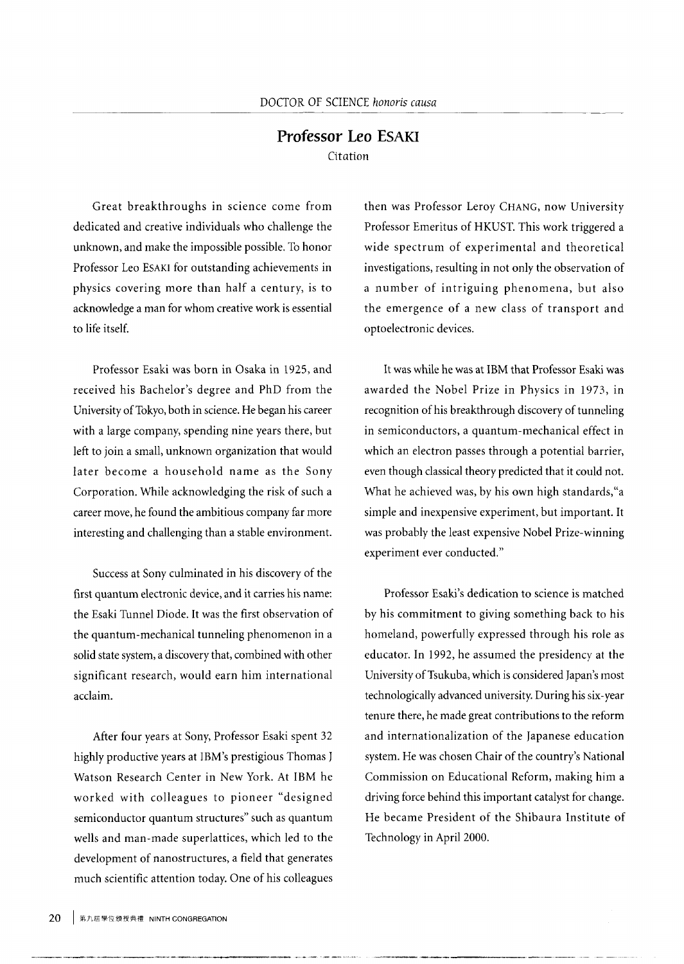## **Professor Leo ESAKI**  Citation

Great breakthroughs in science come from dedicated and creative individuals who challenge the unknown, and make the impossible possible. To honor Professor Leo ESAKI for outstanding achievements in physics covering more than half a century, is to acknowledge a man for whom creative work is essential to life itself.

Professor Esaki was born in Osaka in 1925, and received his Bachelor's degree and PhD from the University of Tokyo, both in science. He began his career with a large company, spending nine years there, but left to join a small, unknown organization that would later become a household name as the Sony Corporation. While acknowledging the risk of such a career move, he found the ambitious company far more interesting and challenging than a stable environment.

Success at Sony culminated in his discovery of the first quantum electronic device, and it carries his name: the Esaki Tunnel Diode. It was the first observation of the quantum-mechanical tunneling phenomenon in a solid state system, a discovery that, combined with other significant research, would earn him international acclaim.

After four years at Sony, Professor Esaki spent 32 highly productive years at IBM's prestigious Thomas J Watson Research Center in New York. At IBM he worked with colleagues to pioneer "designed semiconductor quantum structures" such as quantum wells and man-made superlattices, which led to the development of nanostructures, a field that generates much scientific attention today. One of his colleagues

then was Professor Leroy CHANG, now University Professor Emeritus of HKUST. This work triggered a wide spectrum of experimental and theoretical investigations, resulting in not only the observation of a number of intriguing phenomena, but also the emergence of a new class of transport and optoelectronic devices.

It was while he was at IBM that Professor Esaki was awarded the Nobel Prize in Physics in 1973, in recognition of his breakthrough discovery of tunneling in semiconductors, a quantum-mechanical effect in which an electron passes through a potential barrier, even though classical theory predicted that it could not. What he achieved was, by his own high standards,"a simple and inexpensive experiment, but important. It was probably the least expensive Nobel Prize-winning experiment ever conducted."

Professor Esaki's dedication to science is matched by his commitment to giving something back to his homeland, powerfully expressed through his role as educator. In 1992, he assumed the presidency at the University of Tsukuba, which is considered Japan's most technologically advanced university. During his six-year tenure there, he made great contributions to the reform and internationalization of the Japanese education system. He was chosen Chair of the country's National Commission on Educational Reform, making him a driving force behind this important catalyst for change. He became President of the Shibaura Institute of Technology in April 2000.